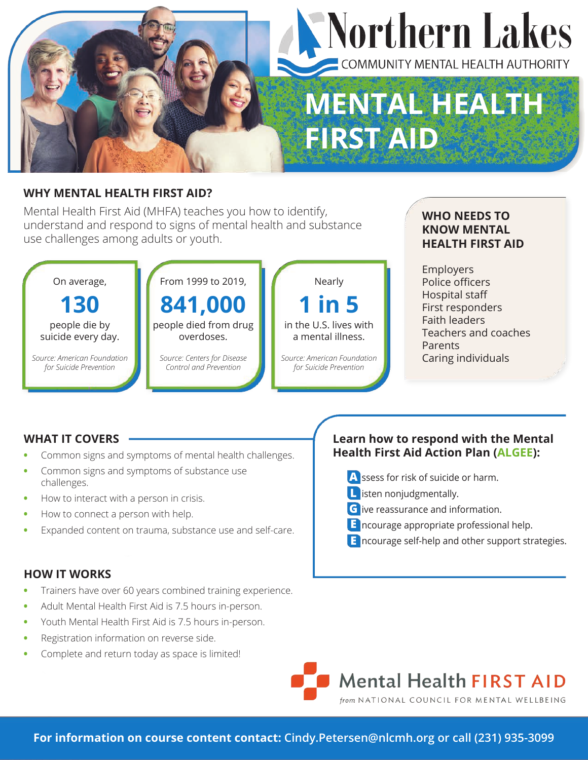

#### **WHY MENTAL HEALTH FIRST AID?**

Mental Health First Aid (MHFA) teaches you how to identify, understand and respond to signs of mental health and substance use challenges among adults or youth.



#### **WHO NEEDS TO KNOW MENTAL HEALTH FIRST AID**

Employers Police officers Hospital staff First responders Faith leaders Teachers and coaches Parents Caring individuals

#### **WHAT IT COVERS**

- **•** Common signs and symptoms of mental health challenges.
- **•** Common signs and symptoms of substance use challenges.
- **•** How to interact with a person in crisis.
- **•** How to connect a person with help.
- **•** Expanded content on trauma, substance use and self-care.

#### **HOW IT WORKS**

- **•** Trainers have over 60 years combined training experience.
- **•** Adult Mental Health First Aid is 7.5 hours in-person.
- **•** Youth Mental Health First Aid is 7.5 hours in-person.
- **•** Registration information on reverse side.
- **•** Complete and return today as space is limited!

### **Learn how to respond with the Mental Health First Aid Action Plan (ALGEE):**

- **A** ssess for risk of suicide or harm.
- **L** isten nonjudgmentally.
- **G** ive reassurance and information.
- **E** ncourage appropriate professional help.
- **E** ncourage self-help and other support strategies.